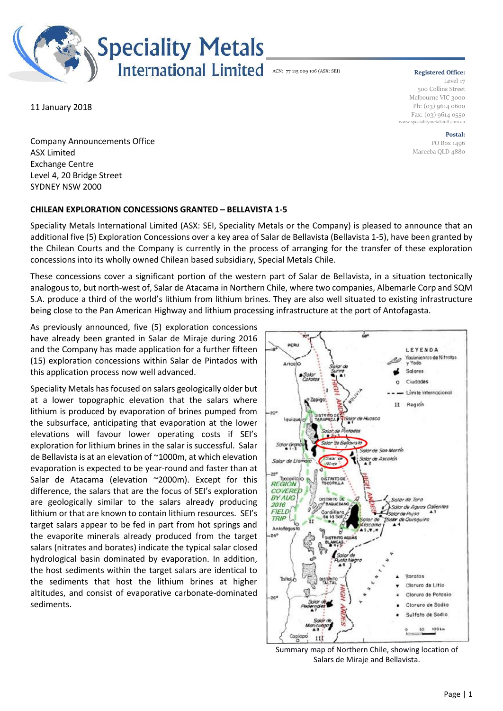

#### **Registered Office:**

Level 17 500 Collins Street Melbourne VIC 3000 Ph: (03) 9614 0600 Fax: (03) 9614 0550 www.specialitymetalsintl.com.au

> **Postal:** PO Box 1496 Mareeba QLD 4880

11 January 2018

Company Announcements Office ASX Limited Exchange Centre Level 4, 20 Bridge Street SYDNEY NSW 2000

### **CHILEAN EXPLORATION CONCESSIONS GRANTED – BELLAVISTA 1-5**

Speciality Metals International Limited (ASX: SEI, Speciality Metals or the Company) is pleased to announce that an additional five (5) Exploration Concessions over a key area of Salar de Bellavista (Bellavista 1-5), have been granted by the Chilean Courts and the Company is currently in the process of arranging for the transfer of these exploration concessions into its wholly owned Chilean based subsidiary, Special Metals Chile.

These concessions cover a significant portion of the western part of Salar de Bellavista, in a situation tectonically analogous to, but north-west of, Salar de Atacama in Northern Chile, where two companies, Albemarle Corp and SQM S.A. produce a third of the world's lithium from lithium brines. They are also well situated to existing infrastructure being close to the Pan American Highway and lithium processing infrastructure at the port of Antofagasta.

As previously announced, five (5) exploration concessions have already been granted in Salar de Miraje during 2016 and the Company has made application for a further fifteen (15) exploration concessions within Salar de Pintados with this application process now well advanced.

Speciality Metals has focused on salars geologically older but at a lower topographic elevation that the salars where lithium is produced by evaporation of brines pumped from the subsurface, anticipating that evaporation at the lower elevations will favour lower operating costs if SEI's exploration for lithium brines in the salar is successful. Salar de Bellavista is at an elevation of ~1000m, at which elevation evaporation is expected to be year-round and faster than at Salar de Atacama (elevation ~2000m). Except for this difference, the salars that are the focus of SEI's exploration are geologically similar to the salars already producing lithium or that are known to contain lithium resources. SEI's target salars appear to be fed in part from hot springs and the evaporite minerals already produced from the target salars (nitrates and borates) indicate the typical salar closed hydrological basin dominated by evaporation. In addition, the host sediments within the target salars are identical to the sediments that host the lithium brines at higher altitudes, and consist of evaporative carbonate-dominated sediments.



Summary map of Northern Chile, showing location of Salars de Miraje and Bellavista.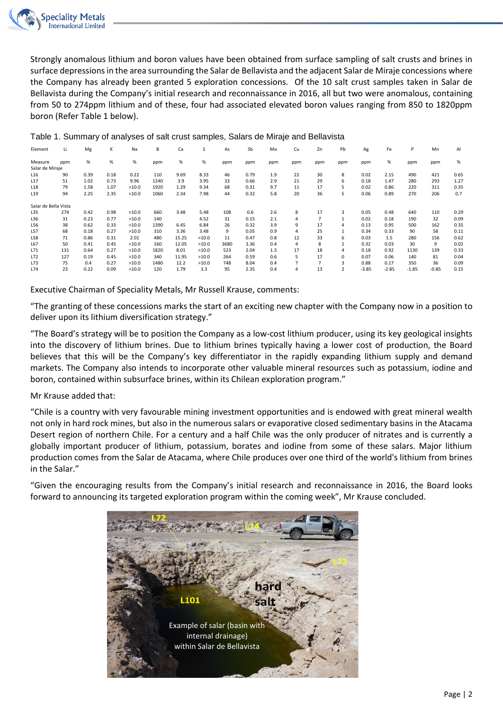

Strongly anomalous lithium and boron values have been obtained from surface sampling of salt crusts and brines in surface depressions in the area surrounding the Salar de Bellavista and the adjacent Salar de Miraje concessions where the Company has already been granted 5 exploration concessions. Of the 10 salt crust samples taken in Salar de Bellavista during the Company's initial research and reconnaissance in 2016, all but two were anomalous, containing from 50 to 274ppm lithium and of these, four had associated elevated boron values ranging from 850 to 1820ppm boron (Refer Table 1 below).

| Element              | Li  | Mg   | ĸ    | Na    | В    | Ca    | S     | As   | Sb   | Mo  | Cu  | Zn             | Pb                      | Ag      | Fe      | P       | Mn      | Al   |
|----------------------|-----|------|------|-------|------|-------|-------|------|------|-----|-----|----------------|-------------------------|---------|---------|---------|---------|------|
| Measure              | ppm | %    | %    | %     | ppm  | %     | %     | ppm  | ppm  | ppm | ppm | ppm            | ppm                     | ppm     | %       | ppm     | ppm     | %    |
| Salar de Miraje      |     |      |      |       |      |       |       |      |      |     |     |                |                         |         |         |         |         |      |
| L16                  | 90  | 0.39 | 0.18 | 0.22  | 110  | 9.69  | 8.33  | 46   | 0.79 | 1.9 | 22  | 30             | 8                       | 0.02    | 2.15    | 490     | 421     | 0.65 |
| L17                  | 51  | 1.02 | 0.73 | 9.96  | 1240 | 3.9   | 3.95  | 33   | 0.66 | 2.9 | 21  | 29             | 6                       | 0.18    | 1.47    | 280     | 293     | 1.27 |
| L18                  | 79  | 1.58 | 1.07 | >10.0 | 1920 | 1.29  | 9.34  | 68   | 0.31 | 9.7 | 11  | 17             | 5                       | 0.02    | 0.86    | 220     | 311     | 0.35 |
| L19                  | 94  | 2.25 | 2.35 | >10.0 | 1060 | 2.34  | 7.98  | 44   | 0.32 | 5.8 | 20  | 36             | 5                       | 0.06    | 0.89    | 270     | 206     | 0.7  |
| Salar de Bella Vista |     |      |      |       |      |       |       |      |      |     |     |                |                         |         |         |         |         |      |
| L35                  | 274 | 0.42 | 0.98 | >10.0 | 660  | 3.48  | 5.48  | 108  | 0.6  | 2.6 | 8   | 17             | 3                       | 0.05    | 0.48    | 640     | 110     | 0.29 |
| L36                  | 31  | 0.23 | 0.77 | >10.0 | 140  |       | 4.52  | 31   | 0.15 | 2.1 | 4   | $\overline{7}$ |                         | 0.02    | 0.18    | 190     | 32      | 0.09 |
| L56                  | 38  | 0.62 | 0.33 | >10.0 | 1390 | 6.45  | 6.84  | 26   | 0.32 | 3.9 | 9   | 17             | 4                       | 0.13    | 0.95    | 500     | 162     | 0.35 |
| L57                  | 68  | 0.18 | 0.27 | >10.0 | 310  | 3.36  | 3.48  | 9    | 0.05 | 0.9 | 4   | 25             |                         | 0.34    | 0.33    | 90      | 58      | 0.11 |
| L58                  | 71  | 0.86 | 0.31 | 2.01  | 480  | 15.25 | >10.0 | 11   | 0.47 | 0.8 | 12  | 33             | 6                       | 0.03    | 1.5     | 280     | 156     | 0.62 |
| L67                  | 50  | 0.41 | 0.45 | >10.0 | 160  | 12.05 | >10.0 | 3680 | 3.36 | 0.4 | 4   | 8              |                         | 0.32    | 0.03    | 30      | 9       | 0.02 |
| L71                  | 131 | 0.64 | 0.27 | >10.0 | 1820 | 8.01  | >10.0 | 523  | 2.04 | 1.3 | 17  | 18             | 4                       | 0.18    | 0.92    | 1130    | 139     | 0.33 |
| L72                  | 127 | 0.19 | 0.45 | >10.0 | 340  | 11.95 | >10.0 | 264  | 0.59 | 0.6 | 5   | 17             | $\Omega$                | 0.07    | 0.06    | 140     | 81      | 0.04 |
| L73                  | 75  | 0.4  | 0.27 | >10.0 | 1480 | 12.2  | >10.0 | 748  | 8.04 | 0.4 |     | $\overline{7}$ | 3                       | 0.88    | 0.17    | 350     | 36      | 0.09 |
| L74                  | 23  | 0.22 | 0.09 | >10.0 | 120  | 1.79  | 3.3   | 95   | 2.35 | 0.4 | 4   | 13             | $\overline{\mathbf{z}}$ | $-3.85$ | $-2.85$ | $-1.85$ | $-0.85$ | 0.15 |

Table 1. Summary of analyses of salt crust samples, Salars de Miraje and Bellavista

Executive Chairman of Speciality Metals, Mr Russell Krause, comments:

"The granting of these concessions marks the start of an exciting new chapter with the Company now in a position to deliver upon its lithium diversification strategy."

"The Board's strategy will be to position the Company as a low-cost lithium producer, using its key geological insights into the discovery of lithium brines. Due to lithium brines typically having a lower cost of production, the Board believes that this will be the Company's key differentiator in the rapidly expanding lithium supply and demand markets. The Company also intends to incorporate other valuable mineral resources such as potassium, iodine and boron, contained within subsurface brines, within its Chilean exploration program."

## Mr Krause added that:

"Chile is a country with very favourable mining investment opportunities and is endowed with great mineral wealth not only in hard rock mines, but also in the numerous salars or evaporative closed sedimentary basins in the Atacama Desert region of northern Chile. For a century and a half Chile was the only producer of nitrates and is currently a globally important producer of lithium, potassium, borates and iodine from some of these salars. Major lithium production comes from the Salar de Atacama, where Chile produces over one third of the world's lithium from brines in the Salar."

"Given the encouraging results from the Company's initial research and reconnaissance in 2016, the Board looks forward to announcing its targeted exploration program within the coming week", Mr Krause concluded.

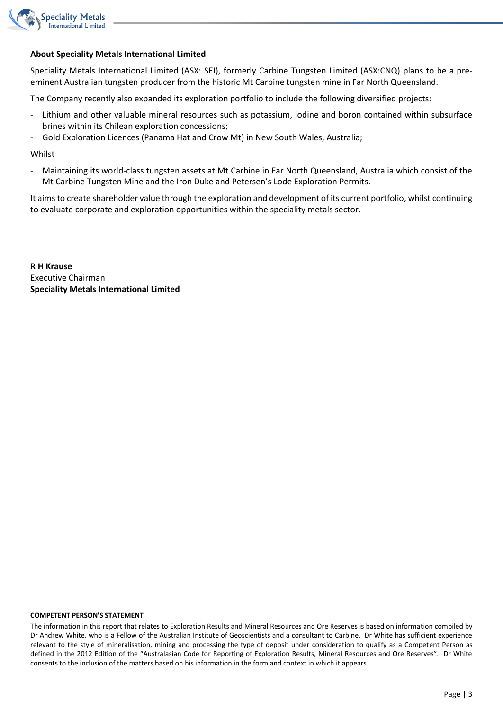

## **About Speciality Metals International Limited**

Speciality Metals International Limited (ASX: SEI), formerly Carbine Tungsten Limited (ASX:CNQ) plans to be a preeminent Australian tungsten producer from the historic Mt Carbine tungsten mine in Far North Queensland.

The Company recently also expanded its exploration portfolio to include the following diversified projects:

- Lithium and other valuable mineral resources such as potassium, iodine and boron contained within subsurface brines within its Chilean exploration concessions;
- Gold Exploration Licences (Panama Hat and Crow Mt) in New South Wales, Australia;

Whilst

- Maintaining its world-class tungsten assets at Mt Carbine in Far North Queensland, Australia which consist of the Mt Carbine Tungsten Mine and the Iron Duke and Petersen's Lode Exploration Permits.

It aims to create shareholder value through the exploration and development of its current portfolio, whilst continuing to evaluate corporate and exploration opportunities within the speciality metals sector.

**R H Krause** Executive Chairman **Speciality Metals International Limited**

#### **COMPETENT PERSON'S STATEMENT**

The information in this report that relates to Exploration Results and Mineral Resources and Ore Reserves is based on information compiled by Dr Andrew White, who is a Fellow of the Australian Institute of Geoscientists and a consultant to Carbine. Dr White has sufficient experience relevant to the style of mineralisation, mining and processing the type of deposit under consideration to qualify as a Competent Person as defined in the 2012 Edition of the "Australasian Code for Reporting of Exploration Results, Mineral Resources and Ore Reserves". Dr White consents to the inclusion of the matters based on his information in the form and context in which it appears.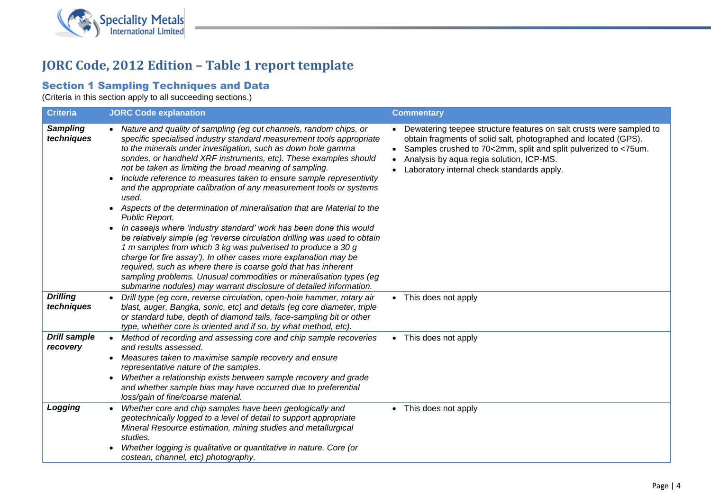

# **JORC Code, 2012 Edition – Table 1 report template**

# Section 1 Sampling Techniques and Data

(Criteria in this section apply to all succeeding sections.)

| <b>Criteria</b>                 | <b>JORC Code explanation</b>                                                                                                                                                                                                                                                                                                                                                                                                                                                                                                                                                                                                                                                                                                                                                                                                                                                                                                                                                                                                                                                                                                 | <b>Commentary</b>                                                                                                                                                                                                                                                                                     |
|---------------------------------|------------------------------------------------------------------------------------------------------------------------------------------------------------------------------------------------------------------------------------------------------------------------------------------------------------------------------------------------------------------------------------------------------------------------------------------------------------------------------------------------------------------------------------------------------------------------------------------------------------------------------------------------------------------------------------------------------------------------------------------------------------------------------------------------------------------------------------------------------------------------------------------------------------------------------------------------------------------------------------------------------------------------------------------------------------------------------------------------------------------------------|-------------------------------------------------------------------------------------------------------------------------------------------------------------------------------------------------------------------------------------------------------------------------------------------------------|
| <b>Sampling</b><br>techniques   | • Nature and quality of sampling (eg cut channels, random chips, or<br>specific specialised industry standard measurement tools appropriate<br>to the minerals under investigation, such as down hole gamma<br>sondes, or handheld XRF instruments, etc). These examples should<br>not be taken as limiting the broad meaning of sampling.<br>Include reference to measures taken to ensure sample representivity<br>and the appropriate calibration of any measurement tools or systems<br>used.<br>Aspects of the determination of mineralisation that are Material to the<br>$\bullet$<br>Public Report.<br>In caseajs where 'industry standard' work has been done this would<br>$\bullet$<br>be relatively simple (eg 'reverse circulation drilling was used to obtain<br>1 m samples from which 3 kg was pulverised to produce a 30 g<br>charge for fire assay'). In other cases more explanation may be<br>required, such as where there is coarse gold that has inherent<br>sampling problems. Unusual commodities or mineralisation types (eg<br>submarine nodules) may warrant disclosure of detailed information. | Dewatering teepee structure features on salt crusts were sampled to<br>obtain fragments of solid salt, photographed and located (GPS).<br>• Samples crushed to 70<2mm, split and split pulverized to <75um.<br>Analysis by aqua regia solution, ICP-MS.<br>Laboratory internal check standards apply. |
| <b>Drilling</b><br>techniques   | Drill type (eg core, reverse circulation, open-hole hammer, rotary air<br>blast, auger, Bangka, sonic, etc) and details (eg core diameter, triple<br>or standard tube, depth of diamond tails, face-sampling bit or other<br>type, whether core is oriented and if so, by what method, etc).                                                                                                                                                                                                                                                                                                                                                                                                                                                                                                                                                                                                                                                                                                                                                                                                                                 | • This does not apply                                                                                                                                                                                                                                                                                 |
| <b>Drill sample</b><br>recovery | Method of recording and assessing core and chip sample recoveries<br>$\bullet$<br>and results assessed.<br>Measures taken to maximise sample recovery and ensure<br>$\bullet$<br>representative nature of the samples.<br>Whether a relationship exists between sample recovery and grade<br>and whether sample bias may have occurred due to preferential<br>loss/gain of fine/coarse material.                                                                                                                                                                                                                                                                                                                                                                                                                                                                                                                                                                                                                                                                                                                             | • This does not apply                                                                                                                                                                                                                                                                                 |
| Logging                         | Whether core and chip samples have been geologically and<br>$\bullet$<br>geotechnically logged to a level of detail to support appropriate<br>Mineral Resource estimation, mining studies and metallurgical<br>studies.<br>Whether logging is qualitative or quantitative in nature. Core (or<br>$\bullet$<br>costean, channel, etc) photography.                                                                                                                                                                                                                                                                                                                                                                                                                                                                                                                                                                                                                                                                                                                                                                            | • This does not apply                                                                                                                                                                                                                                                                                 |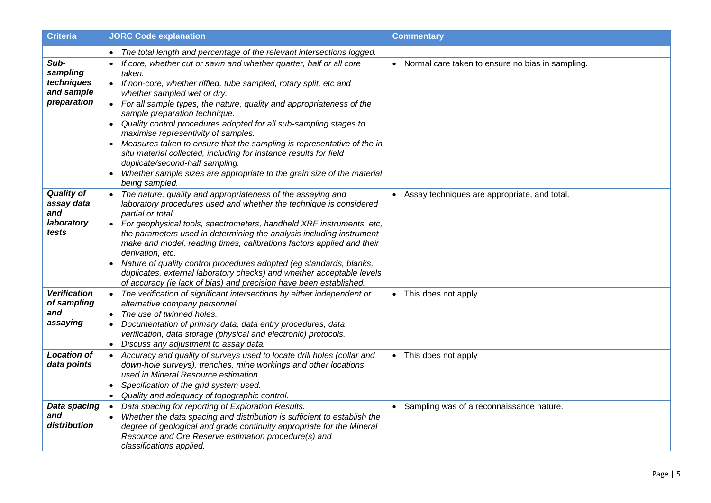| <b>Criteria</b>                                               | <b>JORC Code explanation</b>                                                                                                                                                                                                                                                                                                                                                                                                                                                                                                                                                                                                                                                                           | <b>Commentary</b>                                  |
|---------------------------------------------------------------|--------------------------------------------------------------------------------------------------------------------------------------------------------------------------------------------------------------------------------------------------------------------------------------------------------------------------------------------------------------------------------------------------------------------------------------------------------------------------------------------------------------------------------------------------------------------------------------------------------------------------------------------------------------------------------------------------------|----------------------------------------------------|
|                                                               | • The total length and percentage of the relevant intersections logged.                                                                                                                                                                                                                                                                                                                                                                                                                                                                                                                                                                                                                                |                                                    |
| Sub-<br>sampling<br>techniques<br>and sample<br>preparation   | • If core, whether cut or sawn and whether quarter, half or all core<br>taken.<br>• If non-core, whether riffled, tube sampled, rotary split, etc and<br>whether sampled wet or dry.<br>• For all sample types, the nature, quality and appropriateness of the<br>sample preparation technique.<br>Quality control procedures adopted for all sub-sampling stages to<br>$\bullet$<br>maximise representivity of samples.<br>Measures taken to ensure that the sampling is representative of the in<br>situ material collected, including for instance results for field<br>duplicate/second-half sampling.<br>Whether sample sizes are appropriate to the grain size of the material<br>being sampled. | • Normal care taken to ensure no bias in sampling. |
| <b>Quality of</b><br>assay data<br>and<br>laboratory<br>tests | • The nature, quality and appropriateness of the assaying and<br>laboratory procedures used and whether the technique is considered<br>partial or total.<br>• For geophysical tools, spectrometers, handheld XRF instruments, etc,<br>the parameters used in determining the analysis including instrument<br>make and model, reading times, calibrations factors applied and their<br>derivation, etc.<br>Nature of quality control procedures adopted (eg standards, blanks,<br>$\bullet$<br>duplicates, external laboratory checks) and whether acceptable levels<br>of accuracy (ie lack of bias) and precision have been established.                                                             | Assay techniques are appropriate, and total.       |
| <b>Verification</b><br>of sampling<br>and<br>assaying         | The verification of significant intersections by either independent or<br>alternative company personnel.<br>• The use of twinned holes.<br>Documentation of primary data, data entry procedures, data<br>verification, data storage (physical and electronic) protocols.<br>• Discuss any adjustment to assay data.                                                                                                                                                                                                                                                                                                                                                                                    | • This does not apply                              |
| <b>Location of</b><br>data points                             | Accuracy and quality of surveys used to locate drill holes (collar and<br>$\bullet$<br>down-hole surveys), trenches, mine workings and other locations<br>used in Mineral Resource estimation.<br>Specification of the grid system used.<br>$\bullet$<br>Quality and adequacy of topographic control.                                                                                                                                                                                                                                                                                                                                                                                                  | • This does not apply                              |
| Data spacing<br>and<br>distribution                           | Data spacing for reporting of Exploration Results.<br>$\bullet$<br>Whether the data spacing and distribution is sufficient to establish the<br>degree of geological and grade continuity appropriate for the Mineral<br>Resource and Ore Reserve estimation procedure(s) and<br>classifications applied.                                                                                                                                                                                                                                                                                                                                                                                               | • Sampling was of a reconnaissance nature.         |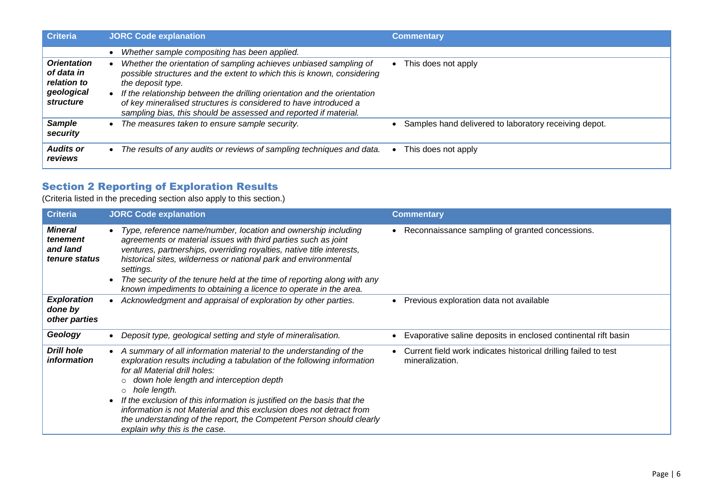| <b>Criteria</b>                                                                   | <b>JORC Code explanation</b>                                                                                                                                                                                                                                                                                                                                                         | <b>Commentary</b>                                       |
|-----------------------------------------------------------------------------------|--------------------------------------------------------------------------------------------------------------------------------------------------------------------------------------------------------------------------------------------------------------------------------------------------------------------------------------------------------------------------------------|---------------------------------------------------------|
|                                                                                   | Whether sample compositing has been applied.                                                                                                                                                                                                                                                                                                                                         |                                                         |
| <b>Orientation</b><br>of data in<br>relation to<br>geological<br><i>structure</i> | Whether the orientation of sampling achieves unbiased sampling of<br>possible structures and the extent to which this is known, considering<br>the deposit type.<br>If the relationship between the drilling orientation and the orientation<br>of key mineralised structures is considered to have introduced a<br>sampling bias, this should be assessed and reported if material. | This does not apply                                     |
| <b>Sample</b><br>security                                                         | The measures taken to ensure sample security.                                                                                                                                                                                                                                                                                                                                        | • Samples hand delivered to laboratory receiving depot. |
| <b>Audits or</b><br>reviews                                                       | The results of any audits or reviews of sampling techniques and data.                                                                                                                                                                                                                                                                                                                | This does not apply                                     |

# Section 2 Reporting of Exploration Results

(Criteria listed in the preceding section also apply to this section.)

| <b>Criteria</b>                                  | <b>JORC Code explanation</b>                                                                                                                                                                                                                                                                                                                                                                                                                                                                                               | <b>Commentary</b>                                                                  |
|--------------------------------------------------|----------------------------------------------------------------------------------------------------------------------------------------------------------------------------------------------------------------------------------------------------------------------------------------------------------------------------------------------------------------------------------------------------------------------------------------------------------------------------------------------------------------------------|------------------------------------------------------------------------------------|
| Mineral<br>tenement<br>and land<br>tenure status | Type, reference name/number, location and ownership including<br>agreements or material issues with third parties such as joint<br>ventures, partnerships, overriding royalties, native title interests,<br>historical sites, wilderness or national park and environmental<br>settings.<br>The security of the tenure held at the time of reporting along with any<br>known impediments to obtaining a licence to operate in the area.                                                                                    | • Reconnaissance sampling of granted concessions.                                  |
| <b>Exploration</b><br>done by<br>other parties   | Acknowledgment and appraisal of exploration by other parties.                                                                                                                                                                                                                                                                                                                                                                                                                                                              | Previous exploration data not available                                            |
| Geology                                          | Deposit type, geological setting and style of mineralisation.                                                                                                                                                                                                                                                                                                                                                                                                                                                              | Evaporative saline deposits in enclosed continental rift basin                     |
| <b>Drill hole</b><br><i>information</i>          | A summary of all information material to the understanding of the<br>exploration results including a tabulation of the following information<br>for all Material drill holes:<br>down hole length and interception depth<br>$\circ$<br>hole length.<br>$\circ$<br>If the exclusion of this information is justified on the basis that the<br>information is not Material and this exclusion does not detract from<br>the understanding of the report, the Competent Person should clearly<br>explain why this is the case. | Current field work indicates historical drilling failed to test<br>mineralization. |